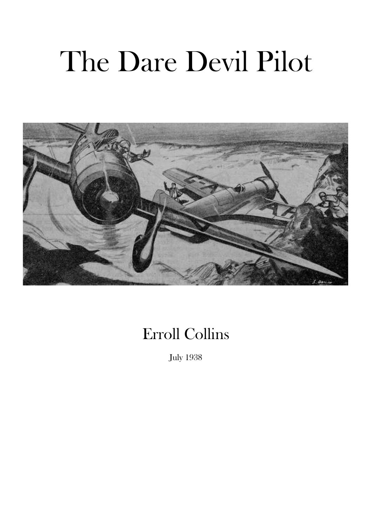## The Dare Devil Pilot



## Erroll Collins

July 1938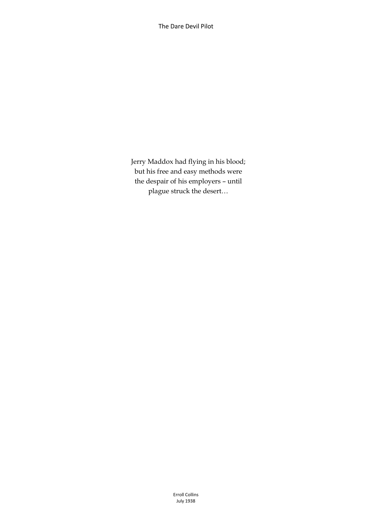Jerry Maddox had flying in his blood; but his free and easy methods were the despair of his employers – until plague struck the desert…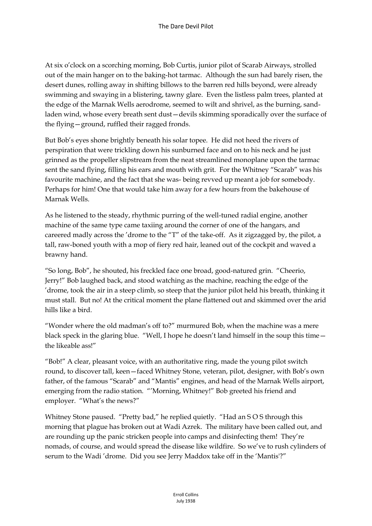At six o'clock on a scorching morning, Bob Curtis, junior pilot of Scarab Airways, strolled out of the main hanger on to the baking-hot tarmac. Although the sun had barely risen, the desert dunes, rolling away in shifting billows to the barren red hills beyond, were already swimming and swaying in a blistering, tawny glare. Even the listless palm trees, planted at the edge of the Marnak Wells aerodrome, seemed to wilt and shrivel, as the burning, sandladen wind, whose every breath sent dust—devils skimming sporadically over the surface of the flying—ground, ruffled their ragged fronds.

But Bob's eyes shone brightly beneath his solar topee. He did not heed the rivers of perspiration that were trickling down his sunburned face and on to his neck and he just grinned as the propeller slipstream from the neat streamlined monoplane upon the tarmac sent the sand flying, filling his ears and mouth with grit. For the Whitney "Scarab" was his favourite machine, and the fact that she was- being revved up meant a job for somebody. Perhaps for him! One that would take him away for a few hours from the bakehouse of Marnak Wells.

As he listened to the steady, rhythmic purring of the well-tuned radial engine, another machine of the same type came taxiing around the corner of one of the hangars, and careered madly across the 'drome to the "T" of the take-off. As it zigzagged by, the pilot, a tall, raw-boned youth with a mop of fiery red hair, leaned out of the cockpit and waved a brawny hand.

"So long, Bob", he shouted, his freckled face one broad, good-natured grin. "Cheerio, Jerry!" Bob laughed back, and stood watching as the machine, reaching the edge of the 'drome, took the air in a steep climb, so steep that the junior pilot held his breath, thinking it must stall. But no! At the critical moment the plane flattened out and skimmed over the arid hills like a bird.

"Wonder where the old madman's off to?" murmured Bob, when the machine was a mere black speck in the glaring blue. "Well, I hope he doesn't land himself in the soup this time the likeable ass!"

"Bob!" A clear, pleasant voice, with an authoritative ring, made the young pilot switch round, to discover tall, keen—faced Whitney Stone, veteran, pilot, designer, with Bob's own father, of the famous "Scarab" and "Mantis" engines, and head of the Marnak Wells airport, emerging from the radio station. "'Morning, Whitney!" Bob greeted his friend and employer. "What's the news?"

Whitney Stone paused. "Pretty bad," he replied quietly. "Had an S O S through this morning that plague has broken out at Wadi Azrek. The military have been called out, and are rounding up the panic stricken people into camps and disinfecting them! They're nomads, of course, and would spread the disease like wildfire. So we've to rush cylinders of serum to the Wadi 'drome. Did you see Jerry Maddox take off in the 'Mantis'?"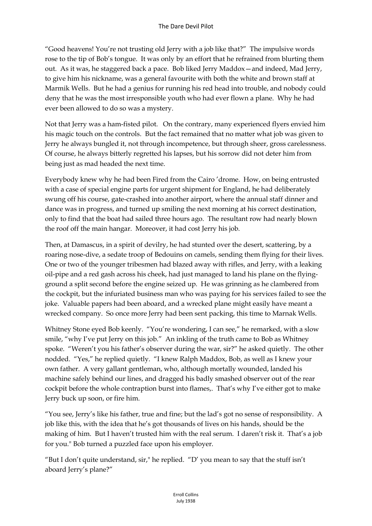"Good heavens! You're not trusting old Jerry with a job like that?" The impulsive words rose to the tip of Bob's tongue. It was only by an effort that he refrained from blurting them out. As it was, he staggered back a pace. Bob liked Jerry Maddox—and indeed, Mad Jerry, to give him his nickname, was a general favourite with both the white and brown staff at Marmik Wells. But he had a genius for running his red head into trouble, and nobody could deny that he was the most irresponsible youth who had ever flown a plane. Why he had ever been allowed to do so was a mystery.

Not that Jerry was a ham-fisted pilot. On the contrary, many experienced flyers envied him his magic touch on the controls. But the fact remained that no matter what job was given to Jerry he always bungled it, not through incompetence, but through sheer, gross carelessness. Of course, he always bitterly regretted his lapses, but his sorrow did not deter him from being just as mad headed the next time.

Everybody knew why he had been Fired from the Cairo 'drome. How, on being entrusted with a case of special engine parts for urgent shipment for England, he had deliberately swung off his course, gate-crashed into another airport, where the annual staff dinner and dance was in progress, and turned up smiling the next morning at his correct destination, only to find that the boat had sailed three hours ago. The resultant row had nearly blown the roof off the main hangar. Moreover, it had cost Jerry his job.

Then, at Damascus, in a spirit of devilry, he had stunted over the desert, scattering, by a roaring nose-dive, a sedate troop of Bedouins on camels, sending them flying for their lives. One or two of the younger tribesmen had blazed away with rifles, and Jerry, with a leaking oil-pipe and a red gash across his cheek, had just managed to land his plane on the flyingground a split second before the engine seized up. He was grinning as he clambered from the cockpit, but the infuriated business man who was paying for his services failed to see the joke. Valuable papers had been aboard, and a wrecked plane might easily have meant a wrecked company. So once more Jerry had been sent packing, this time to Marnak Wells.

Whitney Stone eyed Bob keenly. "You're wondering, I can see," he remarked, with a slow smile, "why I've put Jerry on this job." An inkling of the truth came to Bob as Whitney spoke. "Weren't you his father's observer during the war, sir?" he asked quietly. The other nodded. "Yes," he replied quietly. "I knew Ralph Maddox, Bob, as well as I knew your own father. A very gallant gentleman, who, although mortally wounded, landed his machine safely behind our lines, and dragged his badly smashed observer out of the rear cockpit before the whole contraption burst into flames,. That's why I've either got to make Jerry buck up soon, or fire him.

"You see, Jerry's like his father, true and fine; but the lad's got no sense of responsibility. A job like this, with the idea that he's got thousands of lives on his hands, should be the making of him. But I haven't trusted him with the real serum. I daren't risk it. That's a job for you." Bob turned a puzzled face upon his employer.

"But I don't quite understand, sir," he replied. "D' you mean to say that the stuff isn't aboard Jerry's plane?"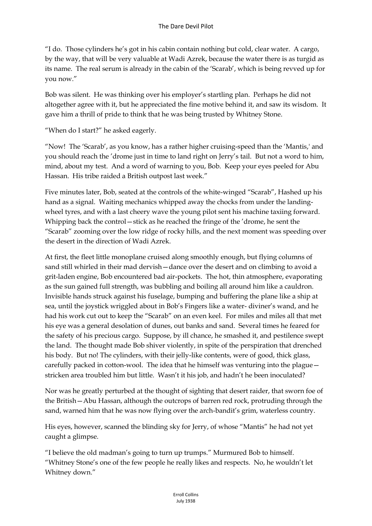"I do. Those cylinders he's got in his cabin contain nothing but cold, clear water. A cargo, by the way, that will be very valuable at Wadi Azrek, because the water there is as turgid as its name. The real serum is already in the cabin of the 'Scarab', which is being revved up for you now."

Bob was silent. He was thinking over his employer's startling plan. Perhaps he did not altogether agree with it, but he appreciated the fine motive behind it, and saw its wisdom. It gave him a thrill of pride to think that he was being trusted by Whitney Stone.

"When do I start?" he asked eagerly.

"Now! The 'Scarab', as you know, has a rather higher cruising-speed than the 'Mantis,' and you should reach the 'drome just in time to land right on Jerry's tail. But not a word to him, mind, about my test. And a word of warning to you, Bob. Keep your eyes peeled for Abu Hassan. His tribe raided a British outpost last week."

Five minutes later, Bob, seated at the controls of the white-winged "Scarab", Hashed up his hand as a signal. Waiting mechanics whipped away the chocks from under the landingwheel tyres, and with a last cheery wave the young pilot sent his machine taxiing forward. Whipping back the control—stick as he reached the fringe of the 'drome, he sent the "Scarab" zooming over the low ridge of rocky hills, and the next moment was speeding over the desert in the direction of Wadi Azrek.

At first, the fleet little monoplane cruised along smoothly enough, but flying columns of sand still whirled in their mad dervish—dance over the desert and on climbing to avoid a grit-laden engine, Bob encountered bad air-pockets. The hot, thin atmosphere, evaporating as the sun gained full strength, was bubbling and boiling all around him like a cauldron. Invisible hands struck against his fuselage, bumping and buffering the plane like a ship at sea, until the joystick wriggled about in Bob's Fingers like a water- diviner's wand, and he had his work cut out to keep the "Scarab" on an even keel. For miles and miles all that met his eye was a general desolation of dunes, out banks and sand. Several times he feared for the safety of his precious cargo. Suppose, by ill chance, he smashed it, and pestilence swept the land. The thought made Bob shiver violently, in spite of the perspiration that drenched his body. But no! The cylinders, with their jelly-like contents, were of good, thick glass, carefully packed in cotton-wool. The idea that he himself was venturing into the plague stricken area troubled him but little. Wasn't it his job, and hadn't he been inoculated?

Nor was he greatly perturbed at the thought of sighting that desert raider, that sworn foe of the British—Abu Hassan, although the outcrops of barren red rock, protruding through the sand, warned him that he was now flying over the arch-bandit's grim, waterless country.

His eyes, however, scanned the blinding sky for Jerry, of whose "Mantis" he had not yet caught a glimpse.

"I believe the old madman's going to turn up trumps." Murmured Bob to himself. "Whitney Stone's one of the few people he really likes and respects. No, he wouldn't let Whitney down."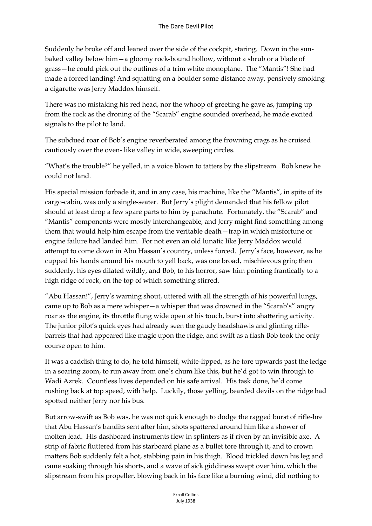Suddenly he broke off and leaned over the side of the cockpit, staring. Down in the sunbaked valley below him—a gloomy rock-bound hollow, without a shrub or a blade of grass—he could pick out the outlines of a trim white monoplane. The "Mantis"! She had made a forced landing! And squatting on a boulder some distance away, pensively smoking a cigarette was Jerry Maddox himself.

There was no mistaking his red head, nor the whoop of greeting he gave as, jumping up from the rock as the droning of the "Scarab" engine sounded overhead, he made excited signals to the pilot to land.

The subdued roar of Bob's engine reverberated among the frowning crags as he cruised cautiously over the oven- like valley in wide, sweeping circles.

"What's the trouble?" he yelled, in a voice blown to tatters by the slipstream. Bob knew he could not land.

His special mission forbade it, and in any case, his machine, like the "Mantis", in spite of its cargo-cabin, was only a single-seater. But Jerry's plight demanded that his fellow pilot should at least drop a few spare parts to him by parachute. Fortunately, the "Scarab" and "Mantis" components were mostly interchangeable, and Jerry might find something among them that would help him escape from the veritable death—trap in which misfortune or engine failure had landed him. For not even an old lunatic like Jerry Maddox would attempt to come down in Abu Hassan's country, unless forced. Jerry's face, however, as he cupped his hands around his mouth to yell back, was one broad, mischievous grin; then suddenly, his eyes dilated wildly, and Bob, to his horror, saw him pointing frantically to a high ridge of rock, on the top of which something stirred.

"Abu Hassan!", Jerry's warning shout, uttered with all the strength of his powerful lungs, came up to Bob as a mere whisper—a whisper that was drowned in the "Scarab's" angry roar as the engine, its throttle flung wide open at his touch, burst into shattering activity. The junior pilot's quick eyes had already seen the gaudy headshawls and glinting riflebarrels that had appeared like magic upon the ridge, and swift as a flash Bob took the only course open to him.

It was a caddish thing to do, he told himself, white-lipped, as he tore upwards past the ledge in a soaring zoom, to run away from one's chum like this, but he'd got to win through to Wadi Azrek. Countless lives depended on his safe arrival. His task done, he'd come rushing back at top speed, with help. Luckily, those yelling, bearded devils on the ridge had spotted neither Jerry nor his bus.

But arrow-swift as Bob was, he was not quick enough to dodge the ragged burst of rifle-hre that Abu Hassan's bandits sent after him, shots spattered around him like a shower of molten lead. His dashboard instruments flew in splinters as if riven by an invisible axe. A strip of fabric fluttered from his starboard plane as a bullet tore through it, and to crown matters Bob suddenly felt a hot, stabbing pain in his thigh. Blood trickled down his leg and came soaking through his shorts, and a wave of sick giddiness swept over him, which the slipstream from his propeller, blowing back in his face like a burning wind, did nothing to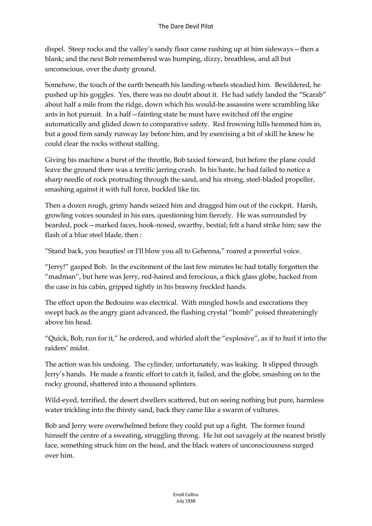dispel. Steep rocks and the valley's sandy floor came rushing up at him sideways—then a blank; and the next Bob remembered was bumping, dizzy, breathless, and all but unconscious, over the dusty ground.

Somehow, the touch of the earth beneath his landing-wheels steadied him. Bewildered, he pushed up his goggles. Yes, there was no doubt about it. He had safely landed the "Scarab" about half a mile from the ridge, down which his would-be assassins were scrambling like ants in hot pursuit. In a half—fainting state he must have switched off the engine automatically and glided down to comparative safety. Red frowning hills hemmed him in, but a good firm sandy runway lay before him, and by exercising a bit of skill he knew he could clear the rocks without stalling.

Giving his machine a burst of the throttle, Bob taxied forward, but before the plane could leave the ground there was a terrific jarring crash. In his haste, he had failed to notice a sharp needle of rock protruding through the sand, and his strong, steel-bladed propeller, smashing against it with full force, buckled like tin.

Then a dozen rough, grimy hands seized him and dragged him out of the cockpit. Harsh, growling voices sounded in his ears, questioning him fiercely. He was surrounded by bearded, pock—marked faces, hook-nosed, swarthy, bestial; felt a hand strike him; saw the flash of a blue steel blade, then :

"Stand back, you beauties! or I'll blow you all to Gehenna," roared a powerful voice.

"Jerry!" gasped Bob. In the excitement of the last few minutes he had totally forgotten the "madman", but here was Jerry, red-haired and ferocious, a thick glass globe, hacked from the case in his cabin, gripped tightly in his brawny freckled hands.

The effect upon the Bedouins was electrical. With mingled howls and execrations they swept back as the angry giant advanced, the flashing crystal "bomb" poised threateningly above his head.

"Quick, Bob, run for it," he ordered, and whirled aloft the "explosive", as if to hurl it into the raiders' midst.

The action was his undoing. The cylinder, unfortunately, was leaking. It slipped through Jerry's hands. He made a frantic effort to catch it, failed, and the globe, smashing on to the rocky ground, shattered into a thousand splinters.

Wild-eyed, terrified, the desert dwellers scattered, but on seeing nothing but pure, harmless water trickling into the thirsty sand, back they came like a swarm of vultures.

Bob and Jerry were overwhelmed before they could put up a fight. The former found himself the centre of a sweating, struggling throng. He hit out savagely at the nearest bristly face, something struck him on the head, and the black waters of unconsciousness surged over him.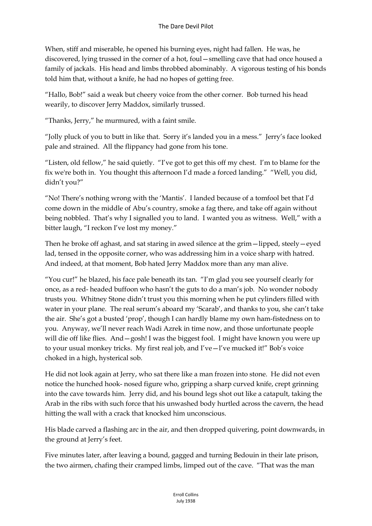When, stiff and miserable, he opened his burning eyes, night had fallen. He was, he discovered, lying trussed in the corner of a hot, foul—smelling cave that had once housed a family of jackals. His head and limbs throbbed abominably. A vigorous testing of his bonds told him that, without a knife, he had no hopes of getting free.

"Hallo, Bob!" said a weak but cheery voice from the other corner. Bob turned his head wearily, to discover Jerry Maddox, similarly trussed.

"Thanks, Jerry," he murmured, with a faint smile.

"Jolly pluck of you to butt in like that. Sorry it's landed you in a mess." Jerry's face looked pale and strained. All the flippancy had gone from his tone.

"Listen, old fellow," he said quietly. "I've got to get this off my chest. I'm to blame for the fix we're both in. You thought this afternoon I'd made a forced landing." "Well, you did, didn't you?"

"No! There's nothing wrong with the 'Mantis'. I landed because of a tomfool bet that I'd come down in the middle of Abu's country, smoke a fag there, and take off again without being nobbled. That's why I signalled you to land. I wanted you as witness. Well," with a bitter laugh, "I reckon I've lost my money."

Then he broke off aghast, and sat staring in awed silence at the grim—lipped, steely—eyed lad, tensed in the opposite corner, who was addressing him in a voice sharp with hatred. And indeed, at that moment, Bob hated Jerry Maddox more than any man alive.

"You cur!" he blazed, his face pale beneath its tan. "I'm glad you see yourself clearly for once, as a red- headed buffoon who hasn't the guts to do a man's job. No wonder nobody trusts you. Whitney Stone didn't trust you this morning when he put cylinders filled with water in your plane. The real serum's aboard my 'Scarab', and thanks to you, she can't take the air. She's got a busted 'prop', though I can hardly blame my own ham-fistedness on to you. Anyway, we'll never reach Wadi Azrek in time now, and those unfortunate people will die off like flies. And – gosh! I was the biggest fool. I might have known you were up to your usual monkey tricks. My first real job, and I've—l've mucked it!" Bob's voice choked in a high, hysterical sob.

He did not look again at Jerry, who sat there like a man frozen into stone. He did not even notice the hunched hook- nosed figure who, gripping a sharp curved knife, crept grinning into the cave towards him. Jerry did, and his bound legs shot out like a catapult, taking the Arab in the ribs with such force that his unwashed body hurtled across the cavern, the head hitting the wall with a crack that knocked him unconscious.

His blade carved a flashing arc in the air, and then dropped quivering, point downwards, in the ground at Jerry's feet.

Five minutes later, after leaving a bound, gagged and turning Bedouin in their late prison, the two airmen, chafing their cramped limbs, limped out of the cave. "That was the man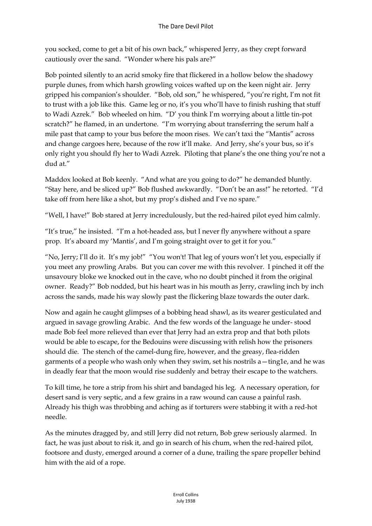you socked, come to get a bit of his own back," whispered Jerry, as they crept forward cautiously over the sand. "Wonder where his pals are?"

Bob pointed silently to an acrid smoky fire that flickered in a hollow below the shadowy purple dunes, from which harsh growling voices wafted up on the keen night air. Jerry gripped his companion's shoulder. "Bob, old son," he whispered, "you're right, I'm not fit to trust with a job like this. Game leg or no, it's you who'll have to finish rushing that stuff to Wadi Azrek." Bob wheeled on him. "D' you think I'm worrying about a little tin-pot scratch?" he flamed, in an undertone. "I'm worrying about transferring the serum half a mile past that camp to your bus before the moon rises. We can't taxi the "Mantis" across and change cargoes here, because of the row it'll make. And Jerry, she's your bus, so it's only right you should fly her to Wadi Azrek. Piloting that plane's the one thing you're not a dud at."

Maddox looked at Bob keenly. "And what are you going to do?" he demanded bluntly. "Stay here, and be sliced up?" Bob flushed awkwardly. "Don't be an ass!" he retorted. "I'd take off from here like a shot, but my prop's dished and I've no spare."

"Well, I have!" Bob stared at Jerry incredulously, but the red-haired pilot eyed him calmly.

"It's true," he insisted. "I'm a hot-headed ass, but I never fly anywhere without a spare prop. It's aboard my 'Mantis', and I'm going straight over to get it for you."

"No, Jerry; I'll do it. It's my job!" "You won't! That leg of yours won't let you, especially if you meet any prowling Arabs. But you can cover me with this revolver. I pinched it off the unsavoury bloke we knocked out in the cave, who no doubt pinched it from the original owner. Ready?" Bob nodded, but his heart was in his mouth as Jerry, crawling inch by inch across the sands, made his way slowly past the flickering blaze towards the outer dark.

Now and again he caught glimpses of a bobbing head shawl, as its wearer gesticulated and argued in savage growling Arabic. And the few words of the language he under- stood made Bob feel more relieved than ever that Jerry had an extra prop and that both pilots would be able to escape, for the Bedouins were discussing with relish how the prisoners should die. The stench of the camel-dung fire, however, and the greasy, flea-ridden garments of a people who wash only when they swim, set his nostrils a—ting1e, and he was in deadly fear that the moon would rise suddenly and betray their escape to the watchers.

To kill time, he tore a strip from his shirt and bandaged his leg. A necessary operation, for desert sand is very septic, and a few grains in a raw wound can cause a painful rash. Already his thigh was throbbing and aching as if torturers were stabbing it with a red-hot needle.

As the minutes dragged by, and still Jerry did not return, Bob grew seriously alarmed. In fact, he was just about to risk it, and go in search of his chum, when the red-haired pilot, footsore and dusty, emerged around a corner of a dune, trailing the spare propeller behind him with the aid of a rope.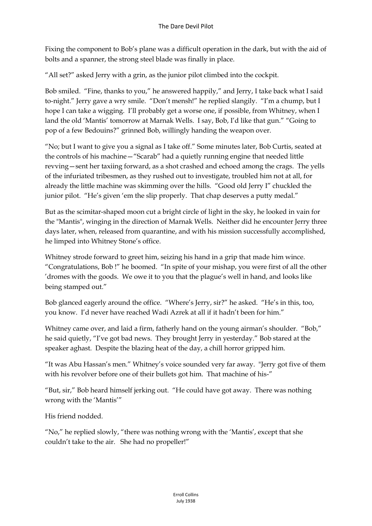Fixing the component to Bob's plane was a difficult operation in the dark, but with the aid of bolts and a spanner, the strong steel blade was finally in place.

"All set?" asked Jerry with a grin, as the junior pilot climbed into the cockpit.

Bob smiled. "Fine, thanks to you," he answered happily," and Jerry, I take back what I said to-night." Jerry gave a wry smile. "Don't mensh!" he replied slangily. "I'm a chump, but I hope I can take a wigging. I'll probably get a worse one, if possible, from Whitney, when I land the old 'Mantis' tomorrow at Marnak Wells. I say, Bob, I'd like that gun." "Going to pop of a few Bedouins?" grinned Bob, willingly handing the weapon over.

"No; but I want to give you a signal as I take off." Some minutes later, Bob Curtis, seated at the controls of his machine—"Scarab" had a quietly running engine that needed little revving—sent her taxiing forward, as a shot crashed and echoed among the crags. The yells of the infuriated tribesmen, as they rushed out to investigate, troubled him not at all, for already the little machine was skimming over the hills. "Good old Jerry I" chuckled the junior pilot. "He's given 'em the slip properly. That chap deserves a putty medal."

But as the scimitar-shaped moon cut a bright circle of light in the sky, he looked in vain for the "Mantis", winging in the direction of Marnak Wells. Neither did he encounter Jerry three days later, when, released from quarantine, and with his mission successfully accomplished, he limped into Whitney Stone's office.

Whitney strode forward to greet him, seizing his hand in a grip that made him wince. "Congratulations, Bob !" he boomed. "In spite of your mishap, you were first of all the other 'dromes with the goods. We owe it to you that the plague's well in hand, and looks like being stamped out."

Bob glanced eagerly around the office. "Where's Jerry, sir?" he asked. "He's in this, too, you know. I'd never have reached Wadi Azrek at all if it hadn't been for him."

Whitney came over, and laid a firm, fatherly hand on the young airman's shoulder. "Bob," he said quietly, "I've got bad news. They brought Jerry in yesterday." Bob stared at the speaker aghast. Despite the blazing heat of the day, a chill horror gripped him.

"It was Abu Hassan's men." Whitney's voice sounded very far away. "Jerry got five of them with his revolver before one of their bullets got him. That machine of his-"

"But, sir," Bob heard himself jerking out. "He could have got away. There was nothing wrong with the 'Mantis'"

His friend nodded.

"No," he replied slowly, "there was nothing wrong with the 'Mantis', except that she couldn't take to the air. She had no propeller!"